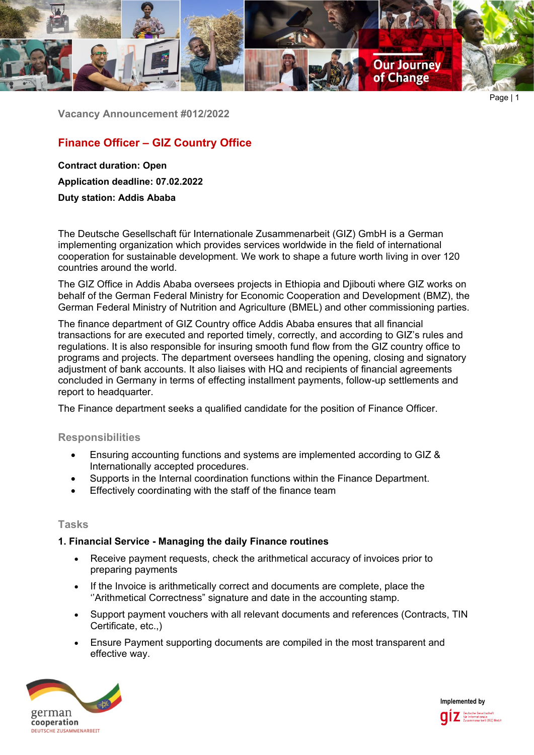

Page | 1

**Vacancy Announcement #012/2022**

# **Finance Officer – GIZ Country Office**

**Contract duration: Open Application deadline: 07.02.2022**

**Duty station: Addis Ababa**

The Deutsche Gesellschaft für Internationale Zusammenarbeit (GIZ) GmbH is a German implementing organization which provides services worldwide in the field of international cooperation for sustainable development. We work to shape a future worth living in over 120 countries around the world.

The GIZ Office in Addis Ababa oversees projects in Ethiopia and Djibouti where GIZ works on behalf of the German Federal Ministry for Economic Cooperation and Development (BMZ), the German Federal Ministry of Nutrition and Agriculture (BMEL) and other commissioning parties.

The finance department of GIZ Country office Addis Ababa ensures that all financial transactions for are executed and reported timely, correctly, and according to GIZ's rules and regulations. It is also responsible for insuring smooth fund flow from the GIZ country office to programs and projects. The department oversees handling the opening, closing and signatory adjustment of bank accounts. It also liaises with HQ and recipients of financial agreements concluded in Germany in terms of effecting installment payments, follow-up settlements and report to headquarter.

The Finance department seeks a qualified candidate for the position of Finance Officer.

## **Responsibilities**

- Ensuring accounting functions and systems are implemented according to GIZ & Internationally accepted procedures.
- Supports in the Internal coordination functions within the Finance Department.
- Effectively coordinating with the staff of the finance team

## **Tasks**

## **1. Financial Service - Managing the daily Finance routines**

- Receive payment requests, check the arithmetical accuracy of invoices prior to preparing payments
- If the Invoice is arithmetically correct and documents are complete, place the ''Arithmetical Correctness" signature and date in the accounting stamp.
- Support payment vouchers with all relevant documents and references (Contracts, TIN Certificate, etc.,)
- Ensure Payment supporting documents are compiled in the most transparent and effective way.



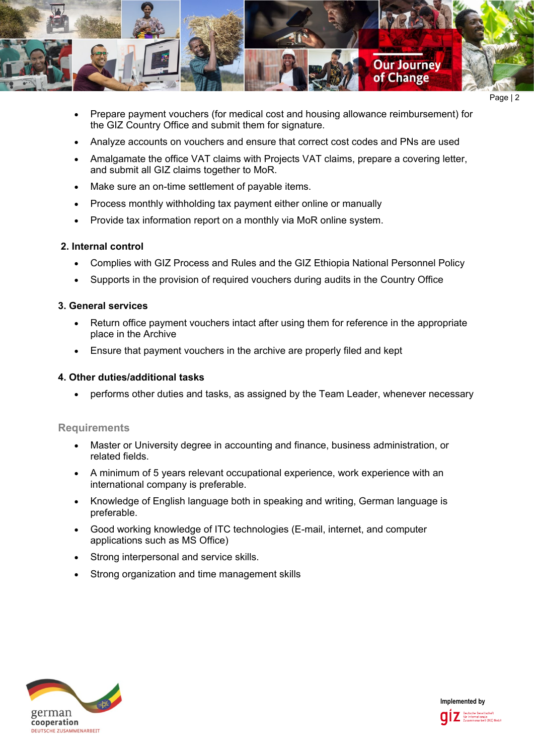

Page | 2

- Prepare payment vouchers (for medical cost and housing allowance reimbursement) for the GIZ Country Office and submit them for signature.
- Analyze accounts on vouchers and ensure that correct cost codes and PNs are used
- Amalgamate the office VAT claims with Projects VAT claims, prepare a covering letter, and submit all GIZ claims together to MoR.
- Make sure an on-time settlement of payable items.
- Process monthly withholding tax payment either online or manually
- Provide tax information report on a monthly via MoR online system.

### **2. Internal control**

- Complies with GIZ Process and Rules and the GIZ Ethiopia National Personnel Policy
- Supports in the provision of required vouchers during audits in the Country Office

### **3. General services**

- Return office payment vouchers intact after using them for reference in the appropriate place in the Archive
- Ensure that payment vouchers in the archive are properly filed and kept

#### **4. Other duties/additional tasks**

• performs other duties and tasks, as assigned by the Team Leader, whenever necessary

#### **Requirements**

- Master or University degree in accounting and finance, business administration, or related fields.
- A minimum of 5 years relevant occupational experience, work experience with an international company is preferable.
- Knowledge of English language both in speaking and writing, German language is preferable.
- Good working knowledge of ITC technologies (E-mail, internet, and computer applications such as MS Office)
- Strong interpersonal and service skills.
- Strong organization and time management skills